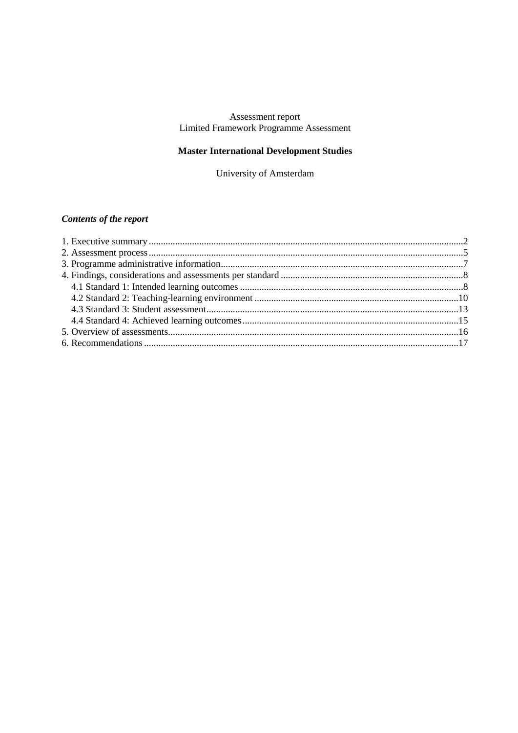## Assessment report Limited Framework Programme Assessment

# **Master International Development Studies**

University of Amsterdam

# **Contents of the report**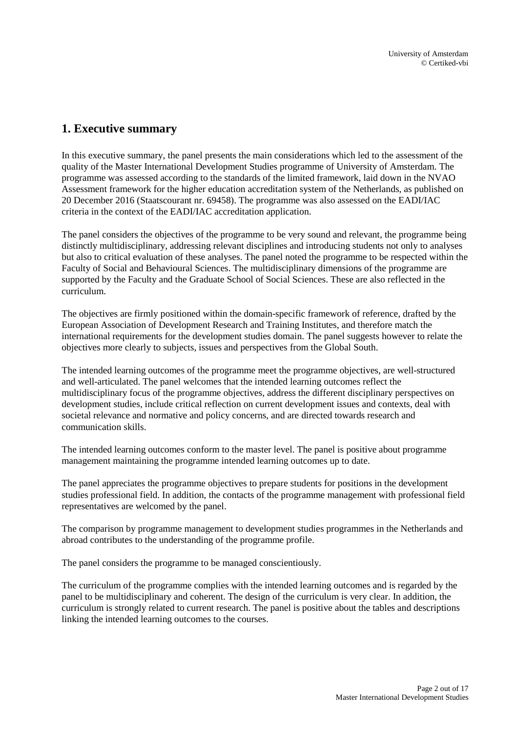# <span id="page-1-0"></span>**1. Executive summary**

In this executive summary, the panel presents the main considerations which led to the assessment of the quality of the Master International Development Studies programme of University of Amsterdam. The programme was assessed according to the standards of the limited framework, laid down in the NVAO Assessment framework for the higher education accreditation system of the Netherlands, as published on 20 December 2016 (Staatscourant nr. 69458). The programme was also assessed on the EADI/IAC criteria in the context of the EADI/IAC accreditation application.

The panel considers the objectives of the programme to be very sound and relevant, the programme being distinctly multidisciplinary, addressing relevant disciplines and introducing students not only to analyses but also to critical evaluation of these analyses. The panel noted the programme to be respected within the Faculty of Social and Behavioural Sciences. The multidisciplinary dimensions of the programme are supported by the Faculty and the Graduate School of Social Sciences. These are also reflected in the curriculum.

The objectives are firmly positioned within the domain-specific framework of reference, drafted by the European Association of Development Research and Training Institutes, and therefore match the international requirements for the development studies domain. The panel suggests however to relate the objectives more clearly to subjects, issues and perspectives from the Global South.

The intended learning outcomes of the programme meet the programme objectives, are well-structured and well-articulated. The panel welcomes that the intended learning outcomes reflect the multidisciplinary focus of the programme objectives, address the different disciplinary perspectives on development studies, include critical reflection on current development issues and contexts, deal with societal relevance and normative and policy concerns, and are directed towards research and communication skills.

The intended learning outcomes conform to the master level. The panel is positive about programme management maintaining the programme intended learning outcomes up to date.

The panel appreciates the programme objectives to prepare students for positions in the development studies professional field. In addition, the contacts of the programme management with professional field representatives are welcomed by the panel.

The comparison by programme management to development studies programmes in the Netherlands and abroad contributes to the understanding of the programme profile.

The panel considers the programme to be managed conscientiously.

The curriculum of the programme complies with the intended learning outcomes and is regarded by the panel to be multidisciplinary and coherent. The design of the curriculum is very clear. In addition, the curriculum is strongly related to current research. The panel is positive about the tables and descriptions linking the intended learning outcomes to the courses.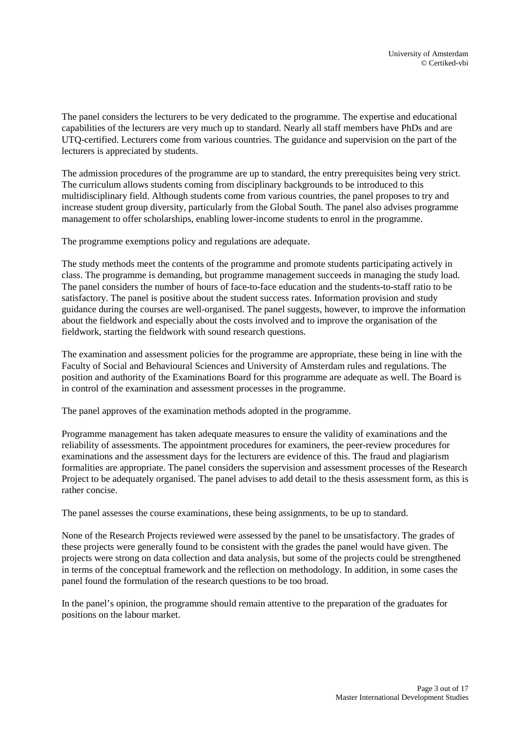The panel considers the lecturers to be very dedicated to the programme. The expertise and educational capabilities of the lecturers are very much up to standard. Nearly all staff members have PhDs and are UTQ-certified. Lecturers come from various countries. The guidance and supervision on the part of the lecturers is appreciated by students.

The admission procedures of the programme are up to standard, the entry prerequisites being very strict. The curriculum allows students coming from disciplinary backgrounds to be introduced to this multidisciplinary field. Although students come from various countries, the panel proposes to try and increase student group diversity, particularly from the Global South. The panel also advises programme management to offer scholarships, enabling lower-income students to enrol in the programme.

The programme exemptions policy and regulations are adequate.

The study methods meet the contents of the programme and promote students participating actively in class. The programme is demanding, but programme management succeeds in managing the study load. The panel considers the number of hours of face-to-face education and the students-to-staff ratio to be satisfactory. The panel is positive about the student success rates. Information provision and study guidance during the courses are well-organised. The panel suggests, however, to improve the information about the fieldwork and especially about the costs involved and to improve the organisation of the fieldwork, starting the fieldwork with sound research questions.

The examination and assessment policies for the programme are appropriate, these being in line with the Faculty of Social and Behavioural Sciences and University of Amsterdam rules and regulations. The position and authority of the Examinations Board for this programme are adequate as well. The Board is in control of the examination and assessment processes in the programme.

The panel approves of the examination methods adopted in the programme.

Programme management has taken adequate measures to ensure the validity of examinations and the reliability of assessments. The appointment procedures for examiners, the peer-review procedures for examinations and the assessment days for the lecturers are evidence of this. The fraud and plagiarism formalities are appropriate. The panel considers the supervision and assessment processes of the Research Project to be adequately organised. The panel advises to add detail to the thesis assessment form, as this is rather concise.

The panel assesses the course examinations, these being assignments, to be up to standard.

None of the Research Projects reviewed were assessed by the panel to be unsatisfactory. The grades of these projects were generally found to be consistent with the grades the panel would have given. The projects were strong on data collection and data analysis, but some of the projects could be strengthened in terms of the conceptual framework and the reflection on methodology. In addition, in some cases the panel found the formulation of the research questions to be too broad.

In the panel's opinion, the programme should remain attentive to the preparation of the graduates for positions on the labour market.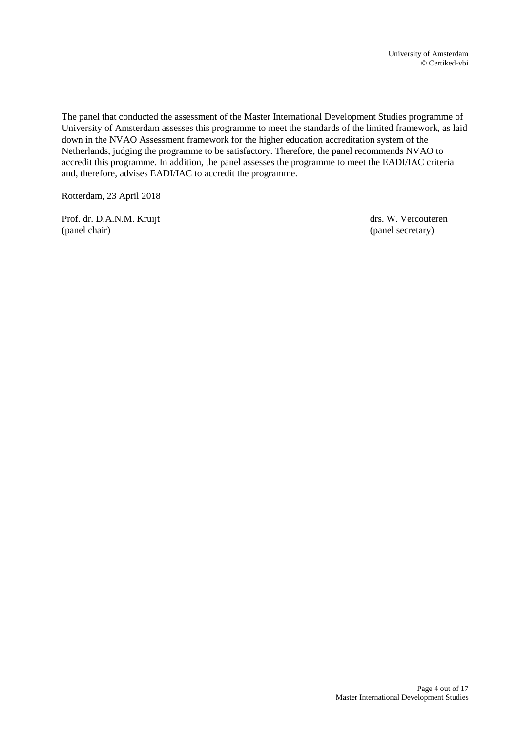The panel that conducted the assessment of the Master International Development Studies programme of University of Amsterdam assesses this programme to meet the standards of the limited framework, as laid down in the NVAO Assessment framework for the higher education accreditation system of the Netherlands, judging the programme to be satisfactory. Therefore, the panel recommends NVAO to accredit this programme. In addition, the panel assesses the programme to meet the EADI/IAC criteria and, therefore, advises EADI/IAC to accredit the programme.

Rotterdam, 23 April 2018

Prof. dr. D.A.N.M. Kruijt drs. W. Vercouteren (panel chair) (panel secretary)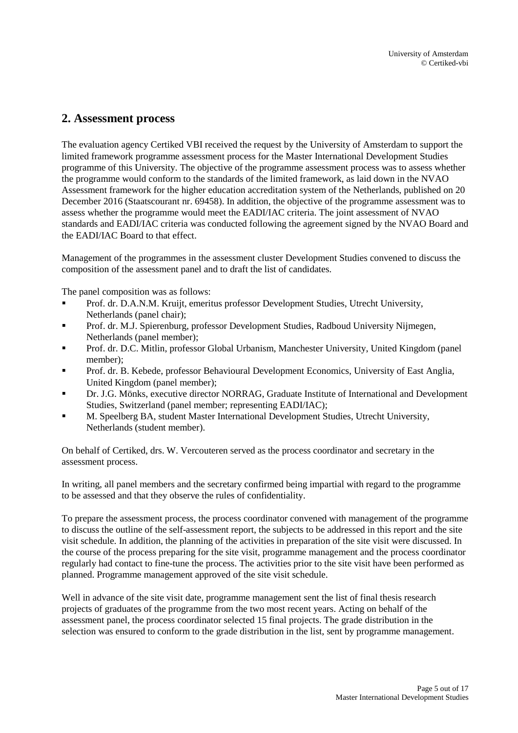# <span id="page-4-0"></span>**2. Assessment process**

The evaluation agency Certiked VBI received the request by the University of Amsterdam to support the limited framework programme assessment process for the Master International Development Studies programme of this University. The objective of the programme assessment process was to assess whether the programme would conform to the standards of the limited framework, as laid down in the NVAO Assessment framework for the higher education accreditation system of the Netherlands, published on 20 December 2016 (Staatscourant nr. 69458). In addition, the objective of the programme assessment was to assess whether the programme would meet the EADI/IAC criteria. The joint assessment of NVAO standards and EADI/IAC criteria was conducted following the agreement signed by the NVAO Board and the EADI/IAC Board to that effect.

Management of the programmes in the assessment cluster Development Studies convened to discuss the composition of the assessment panel and to draft the list of candidates.

The panel composition was as follows:

- Prof. dr. D.A.N.M. Kruijt, emeritus professor Development Studies, Utrecht University, Netherlands (panel chair);
- Prof. dr. M.J. Spierenburg, professor Development Studies, Radboud University Nijmegen, Netherlands (panel member);
- Prof. dr. D.C. Mitlin, professor Global Urbanism, Manchester University, United Kingdom (panel member);
- Prof. dr. B. Kebede, professor Behavioural Development Economics, University of East Anglia, United Kingdom (panel member);
- Dr. J.G. Mönks, executive director NORRAG, Graduate Institute of International and Development Studies, Switzerland (panel member; representing EADI/IAC);
- M. Speelberg BA, student Master International Development Studies, Utrecht University, Netherlands (student member).

On behalf of Certiked, drs. W. Vercouteren served as the process coordinator and secretary in the assessment process.

In writing, all panel members and the secretary confirmed being impartial with regard to the programme to be assessed and that they observe the rules of confidentiality.

To prepare the assessment process, the process coordinator convened with management of the programme to discuss the outline of the self-assessment report, the subjects to be addressed in this report and the site visit schedule. In addition, the planning of the activities in preparation of the site visit were discussed. In the course of the process preparing for the site visit, programme management and the process coordinator regularly had contact to fine-tune the process. The activities prior to the site visit have been performed as planned. Programme management approved of the site visit schedule.

Well in advance of the site visit date, programme management sent the list of final thesis research projects of graduates of the programme from the two most recent years. Acting on behalf of the assessment panel, the process coordinator selected 15 final projects. The grade distribution in the selection was ensured to conform to the grade distribution in the list, sent by programme management.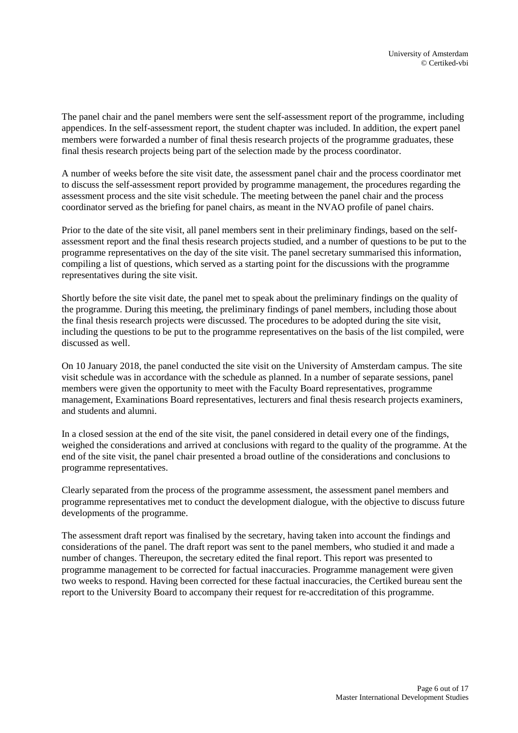The panel chair and the panel members were sent the self-assessment report of the programme, including appendices. In the self-assessment report, the student chapter was included. In addition, the expert panel members were forwarded a number of final thesis research projects of the programme graduates, these final thesis research projects being part of the selection made by the process coordinator.

A number of weeks before the site visit date, the assessment panel chair and the process coordinator met to discuss the self-assessment report provided by programme management, the procedures regarding the assessment process and the site visit schedule. The meeting between the panel chair and the process coordinator served as the briefing for panel chairs, as meant in the NVAO profile of panel chairs.

Prior to the date of the site visit, all panel members sent in their preliminary findings, based on the selfassessment report and the final thesis research projects studied, and a number of questions to be put to the programme representatives on the day of the site visit. The panel secretary summarised this information, compiling a list of questions, which served as a starting point for the discussions with the programme representatives during the site visit.

Shortly before the site visit date, the panel met to speak about the preliminary findings on the quality of the programme. During this meeting, the preliminary findings of panel members, including those about the final thesis research projects were discussed. The procedures to be adopted during the site visit, including the questions to be put to the programme representatives on the basis of the list compiled, were discussed as well.

On 10 January 2018, the panel conducted the site visit on the University of Amsterdam campus. The site visit schedule was in accordance with the schedule as planned. In a number of separate sessions, panel members were given the opportunity to meet with the Faculty Board representatives, programme management, Examinations Board representatives, lecturers and final thesis research projects examiners, and students and alumni.

In a closed session at the end of the site visit, the panel considered in detail every one of the findings, weighed the considerations and arrived at conclusions with regard to the quality of the programme. At the end of the site visit, the panel chair presented a broad outline of the considerations and conclusions to programme representatives.

Clearly separated from the process of the programme assessment, the assessment panel members and programme representatives met to conduct the development dialogue, with the objective to discuss future developments of the programme.

The assessment draft report was finalised by the secretary, having taken into account the findings and considerations of the panel. The draft report was sent to the panel members, who studied it and made a number of changes. Thereupon, the secretary edited the final report. This report was presented to programme management to be corrected for factual inaccuracies. Programme management were given two weeks to respond. Having been corrected for these factual inaccuracies, the Certiked bureau sent the report to the University Board to accompany their request for re-accreditation of this programme.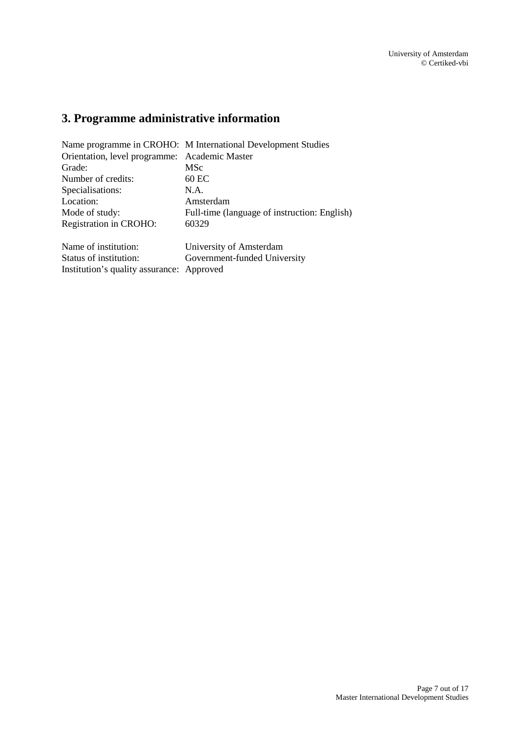# <span id="page-6-0"></span>**3. Programme administrative information**

Institution's quality assurance: Approved

|                                               | Name programme in CROHO: M International Development Studies |
|-----------------------------------------------|--------------------------------------------------------------|
| Orientation, level programme: Academic Master |                                                              |
| Grade:                                        | MSc                                                          |
| Number of credits:                            | 60 EC                                                        |
| Specialisations:                              | N.A.                                                         |
| Location:                                     | Amsterdam                                                    |
| Mode of study:                                | Full-time (language of instruction: English)                 |
| Registration in CROHO:                        | 60329                                                        |
| Name of institution:                          | University of Amsterdam                                      |
| Status of institution:                        | Government-funded University                                 |

Page 7 out of 17 Master International Development Studies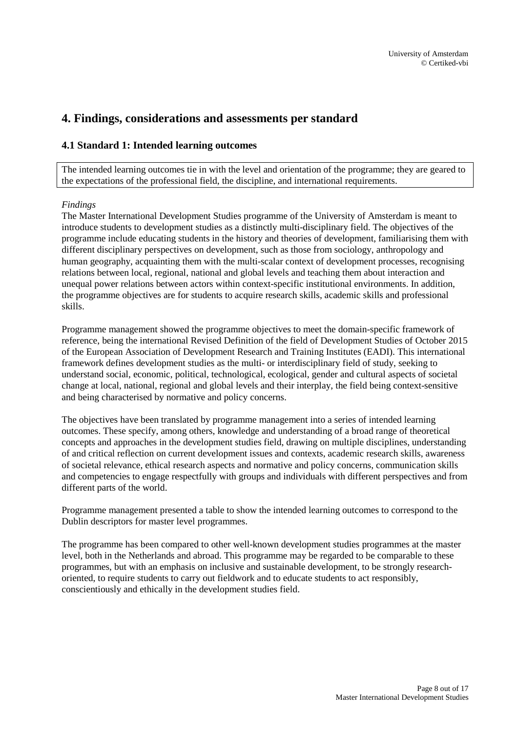# <span id="page-7-0"></span>**4. Findings, considerations and assessments per standard**

## <span id="page-7-1"></span>**4.1 Standard 1: Intended learning outcomes**

The intended learning outcomes tie in with the level and orientation of the programme; they are geared to the expectations of the professional field, the discipline, and international requirements.

#### *Findings*

The Master International Development Studies programme of the University of Amsterdam is meant to introduce students to development studies as a distinctly multi-disciplinary field. The objectives of the programme include educating students in the history and theories of development, familiarising them with different disciplinary perspectives on development, such as those from sociology, anthropology and human geography, acquainting them with the multi-scalar context of development processes, recognising relations between local, regional, national and global levels and teaching them about interaction and unequal power relations between actors within context-specific institutional environments. In addition, the programme objectives are for students to acquire research skills, academic skills and professional skills.

Programme management showed the programme objectives to meet the domain-specific framework of reference, being the international Revised Definition of the field of Development Studies of October 2015 of the European Association of Development Research and Training Institutes (EADI). This international framework defines development studies as the multi- or interdisciplinary field of study, seeking to understand social, economic, political, technological, ecological, gender and cultural aspects of societal change at local, national, regional and global levels and their interplay, the field being context-sensitive and being characterised by normative and policy concerns.

The objectives have been translated by programme management into a series of intended learning outcomes. These specify, among others, knowledge and understanding of a broad range of theoretical concepts and approaches in the development studies field, drawing on multiple disciplines, understanding of and critical reflection on current development issues and contexts, academic research skills, awareness of societal relevance, ethical research aspects and normative and policy concerns, communication skills and competencies to engage respectfully with groups and individuals with different perspectives and from different parts of the world.

Programme management presented a table to show the intended learning outcomes to correspond to the Dublin descriptors for master level programmes.

The programme has been compared to other well-known development studies programmes at the master level, both in the Netherlands and abroad. This programme may be regarded to be comparable to these programmes, but with an emphasis on inclusive and sustainable development, to be strongly researchoriented, to require students to carry out fieldwork and to educate students to act responsibly, conscientiously and ethically in the development studies field.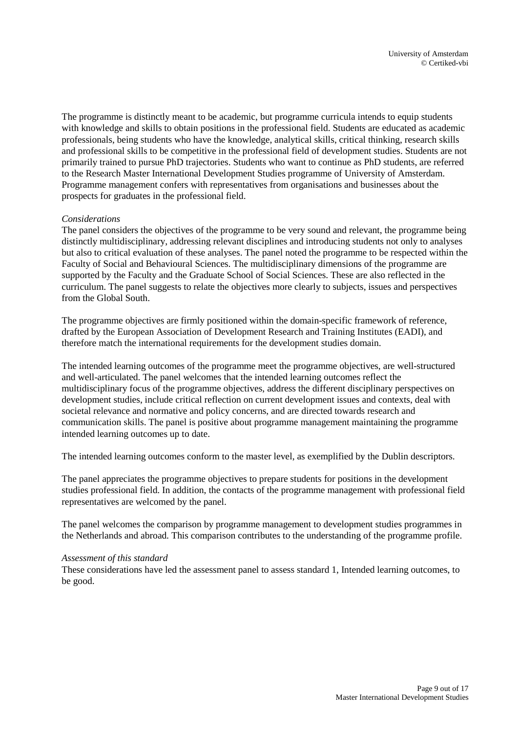The programme is distinctly meant to be academic, but programme curricula intends to equip students with knowledge and skills to obtain positions in the professional field. Students are educated as academic professionals, being students who have the knowledge, analytical skills, critical thinking, research skills and professional skills to be competitive in the professional field of development studies. Students are not primarily trained to pursue PhD trajectories. Students who want to continue as PhD students, are referred to the Research Master International Development Studies programme of University of Amsterdam. Programme management confers with representatives from organisations and businesses about the prospects for graduates in the professional field.

#### *Considerations*

The panel considers the objectives of the programme to be very sound and relevant, the programme being distinctly multidisciplinary, addressing relevant disciplines and introducing students not only to analyses but also to critical evaluation of these analyses. The panel noted the programme to be respected within the Faculty of Social and Behavioural Sciences. The multidisciplinary dimensions of the programme are supported by the Faculty and the Graduate School of Social Sciences. These are also reflected in the curriculum. The panel suggests to relate the objectives more clearly to subjects, issues and perspectives from the Global South.

The programme objectives are firmly positioned within the domain-specific framework of reference, drafted by the European Association of Development Research and Training Institutes (EADI), and therefore match the international requirements for the development studies domain.

The intended learning outcomes of the programme meet the programme objectives, are well-structured and well-articulated. The panel welcomes that the intended learning outcomes reflect the multidisciplinary focus of the programme objectives, address the different disciplinary perspectives on development studies, include critical reflection on current development issues and contexts, deal with societal relevance and normative and policy concerns, and are directed towards research and communication skills. The panel is positive about programme management maintaining the programme intended learning outcomes up to date.

The intended learning outcomes conform to the master level, as exemplified by the Dublin descriptors.

The panel appreciates the programme objectives to prepare students for positions in the development studies professional field. In addition, the contacts of the programme management with professional field representatives are welcomed by the panel.

The panel welcomes the comparison by programme management to development studies programmes in the Netherlands and abroad. This comparison contributes to the understanding of the programme profile.

### *Assessment of this standard*

These considerations have led the assessment panel to assess standard 1, Intended learning outcomes, to be good.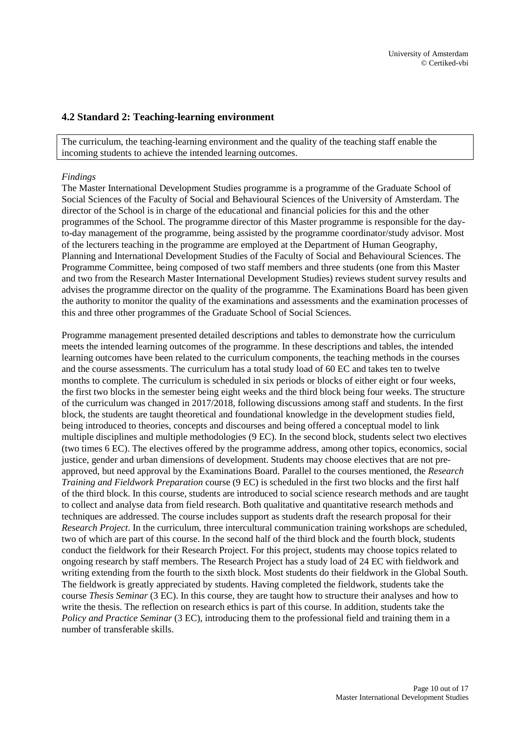### <span id="page-9-0"></span>**4.2 Standard 2: Teaching-learning environment**

The curriculum, the teaching-learning environment and the quality of the teaching staff enable the incoming students to achieve the intended learning outcomes.

#### *Findings*

The Master International Development Studies programme is a programme of the Graduate School of Social Sciences of the Faculty of Social and Behavioural Sciences of the University of Amsterdam. The director of the School is in charge of the educational and financial policies for this and the other programmes of the School. The programme director of this Master programme is responsible for the dayto-day management of the programme, being assisted by the programme coordinator/study advisor. Most of the lecturers teaching in the programme are employed at the Department of Human Geography, Planning and International Development Studies of the Faculty of Social and Behavioural Sciences. The Programme Committee, being composed of two staff members and three students (one from this Master and two from the Research Master International Development Studies) reviews student survey results and advises the programme director on the quality of the programme. The Examinations Board has been given the authority to monitor the quality of the examinations and assessments and the examination processes of this and three other programmes of the Graduate School of Social Sciences.

Programme management presented detailed descriptions and tables to demonstrate how the curriculum meets the intended learning outcomes of the programme. In these descriptions and tables, the intended learning outcomes have been related to the curriculum components, the teaching methods in the courses and the course assessments. The curriculum has a total study load of 60 EC and takes ten to twelve months to complete. The curriculum is scheduled in six periods or blocks of either eight or four weeks, the first two blocks in the semester being eight weeks and the third block being four weeks. The structure of the curriculum was changed in 2017/2018, following discussions among staff and students. In the first block, the students are taught theoretical and foundational knowledge in the development studies field, being introduced to theories, concepts and discourses and being offered a conceptual model to link multiple disciplines and multiple methodologies (9 EC). In the second block, students select two electives (two times 6 EC). The electives offered by the programme address, among other topics, economics, social justice, gender and urban dimensions of development. Students may choose electives that are not preapproved, but need approval by the Examinations Board. Parallel to the courses mentioned, the *Research Training and Fieldwork Preparation* course (9 EC) is scheduled in the first two blocks and the first half of the third block. In this course, students are introduced to social science research methods and are taught to collect and analyse data from field research. Both qualitative and quantitative research methods and techniques are addressed. The course includes support as students draft the research proposal for their *Research Project*. In the curriculum, three intercultural communication training workshops are scheduled, two of which are part of this course. In the second half of the third block and the fourth block, students conduct the fieldwork for their Research Project. For this project, students may choose topics related to ongoing research by staff members. The Research Project has a study load of 24 EC with fieldwork and writing extending from the fourth to the sixth block. Most students do their fieldwork in the Global South. The fieldwork is greatly appreciated by students. Having completed the fieldwork, students take the course *Thesis Seminar* (3 EC). In this course, they are taught how to structure their analyses and how to write the thesis. The reflection on research ethics is part of this course. In addition, students take the *Policy and Practice Seminar* (3 EC), introducing them to the professional field and training them in a number of transferable skills.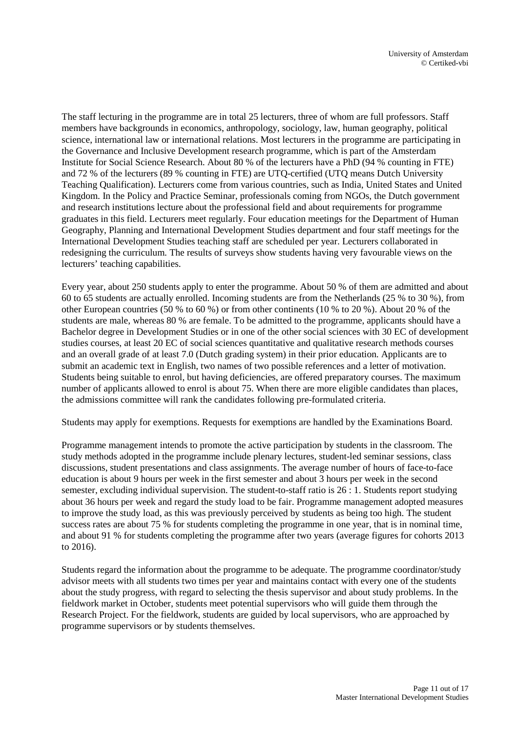The staff lecturing in the programme are in total 25 lecturers, three of whom are full professors. Staff members have backgrounds in economics, anthropology, sociology, law, human geography, political science, international law or international relations. Most lecturers in the programme are participating in the Governance and Inclusive Development research programme, which is part of the Amsterdam Institute for Social Science Research. About 80 % of the lecturers have a PhD (94 % counting in FTE) and 72 % of the lecturers (89 % counting in FTE) are UTQ-certified (UTQ means Dutch University Teaching Qualification). Lecturers come from various countries, such as India, United States and United Kingdom. In the Policy and Practice Seminar, professionals coming from NGOs, the Dutch government and research institutions lecture about the professional field and about requirements for programme graduates in this field. Lecturers meet regularly. Four education meetings for the Department of Human Geography, Planning and International Development Studies department and four staff meetings for the International Development Studies teaching staff are scheduled per year. Lecturers collaborated in redesigning the curriculum. The results of surveys show students having very favourable views on the lecturers' teaching capabilities.

Every year, about 250 students apply to enter the programme. About 50 % of them are admitted and about 60 to 65 students are actually enrolled. Incoming students are from the Netherlands (25 % to 30 %), from other European countries (50 % to 60 %) or from other continents (10 % to 20 %). About 20 % of the students are male, whereas 80 % are female. To be admitted to the programme, applicants should have a Bachelor degree in Development Studies or in one of the other social sciences with 30 EC of development studies courses, at least 20 EC of social sciences quantitative and qualitative research methods courses and an overall grade of at least 7.0 (Dutch grading system) in their prior education. Applicants are to submit an academic text in English, two names of two possible references and a letter of motivation. Students being suitable to enrol, but having deficiencies, are offered preparatory courses. The maximum number of applicants allowed to enrol is about 75. When there are more eligible candidates than places, the admissions committee will rank the candidates following pre-formulated criteria.

Students may apply for exemptions. Requests for exemptions are handled by the Examinations Board.

Programme management intends to promote the active participation by students in the classroom. The study methods adopted in the programme include plenary lectures, student-led seminar sessions, class discussions, student presentations and class assignments. The average number of hours of face-to-face education is about 9 hours per week in the first semester and about 3 hours per week in the second semester, excluding individual supervision. The student-to-staff ratio is 26 : 1. Students report studying about 36 hours per week and regard the study load to be fair. Programme management adopted measures to improve the study load, as this was previously perceived by students as being too high. The student success rates are about 75 % for students completing the programme in one year, that is in nominal time, and about 91 % for students completing the programme after two years (average figures for cohorts 2013 to 2016).

Students regard the information about the programme to be adequate. The programme coordinator/study advisor meets with all students two times per year and maintains contact with every one of the students about the study progress, with regard to selecting the thesis supervisor and about study problems. In the fieldwork market in October, students meet potential supervisors who will guide them through the Research Project. For the fieldwork, students are guided by local supervisors, who are approached by programme supervisors or by students themselves.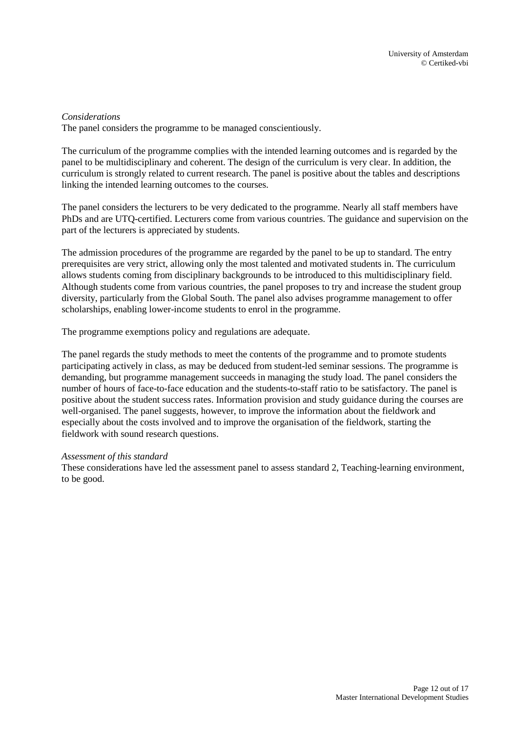### *Considerations*

The panel considers the programme to be managed conscientiously.

The curriculum of the programme complies with the intended learning outcomes and is regarded by the panel to be multidisciplinary and coherent. The design of the curriculum is very clear. In addition, the curriculum is strongly related to current research. The panel is positive about the tables and descriptions linking the intended learning outcomes to the courses.

The panel considers the lecturers to be very dedicated to the programme. Nearly all staff members have PhDs and are UTQ-certified. Lecturers come from various countries. The guidance and supervision on the part of the lecturers is appreciated by students.

The admission procedures of the programme are regarded by the panel to be up to standard. The entry prerequisites are very strict, allowing only the most talented and motivated students in. The curriculum allows students coming from disciplinary backgrounds to be introduced to this multidisciplinary field. Although students come from various countries, the panel proposes to try and increase the student group diversity, particularly from the Global South. The panel also advises programme management to offer scholarships, enabling lower-income students to enrol in the programme.

The programme exemptions policy and regulations are adequate.

The panel regards the study methods to meet the contents of the programme and to promote students participating actively in class, as may be deduced from student-led seminar sessions. The programme is demanding, but programme management succeeds in managing the study load. The panel considers the number of hours of face-to-face education and the students-to-staff ratio to be satisfactory. The panel is positive about the student success rates. Information provision and study guidance during the courses are well-organised. The panel suggests, however, to improve the information about the fieldwork and especially about the costs involved and to improve the organisation of the fieldwork, starting the fieldwork with sound research questions.

#### *Assessment of this standard*

These considerations have led the assessment panel to assess standard 2, Teaching-learning environment, to be good.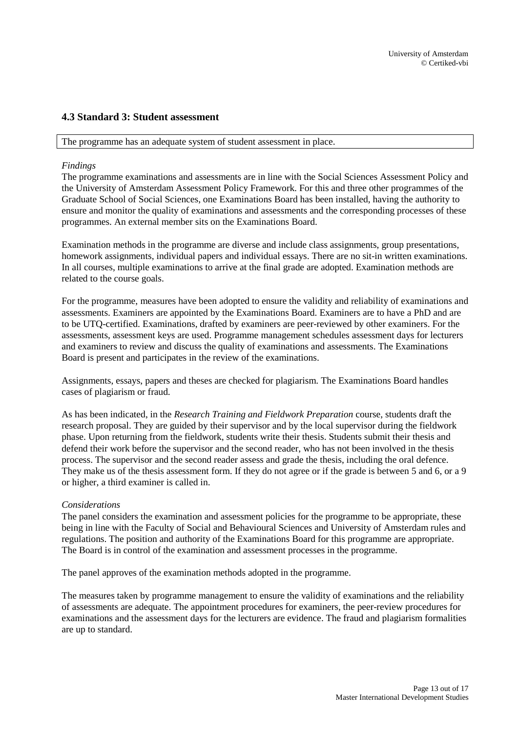### <span id="page-12-0"></span>**4.3 Standard 3: Student assessment**

#### The programme has an adequate system of student assessment in place.

#### *Findings*

The programme examinations and assessments are in line with the Social Sciences Assessment Policy and the University of Amsterdam Assessment Policy Framework. For this and three other programmes of the Graduate School of Social Sciences, one Examinations Board has been installed, having the authority to ensure and monitor the quality of examinations and assessments and the corresponding processes of these programmes. An external member sits on the Examinations Board.

Examination methods in the programme are diverse and include class assignments, group presentations, homework assignments, individual papers and individual essays. There are no sit-in written examinations. In all courses, multiple examinations to arrive at the final grade are adopted. Examination methods are related to the course goals.

For the programme, measures have been adopted to ensure the validity and reliability of examinations and assessments. Examiners are appointed by the Examinations Board. Examiners are to have a PhD and are to be UTQ-certified. Examinations, drafted by examiners are peer-reviewed by other examiners. For the assessments, assessment keys are used. Programme management schedules assessment days for lecturers and examiners to review and discuss the quality of examinations and assessments. The Examinations Board is present and participates in the review of the examinations.

Assignments, essays, papers and theses are checked for plagiarism. The Examinations Board handles cases of plagiarism or fraud.

As has been indicated, in the *Research Training and Fieldwork Preparation* course, students draft the research proposal. They are guided by their supervisor and by the local supervisor during the fieldwork phase. Upon returning from the fieldwork, students write their thesis. Students submit their thesis and defend their work before the supervisor and the second reader, who has not been involved in the thesis process. The supervisor and the second reader assess and grade the thesis, including the oral defence. They make us of the thesis assessment form. If they do not agree or if the grade is between 5 and 6, or a 9 or higher, a third examiner is called in.

#### *Considerations*

The panel considers the examination and assessment policies for the programme to be appropriate, these being in line with the Faculty of Social and Behavioural Sciences and University of Amsterdam rules and regulations. The position and authority of the Examinations Board for this programme are appropriate. The Board is in control of the examination and assessment processes in the programme.

The panel approves of the examination methods adopted in the programme.

The measures taken by programme management to ensure the validity of examinations and the reliability of assessments are adequate. The appointment procedures for examiners, the peer-review procedures for examinations and the assessment days for the lecturers are evidence. The fraud and plagiarism formalities are up to standard.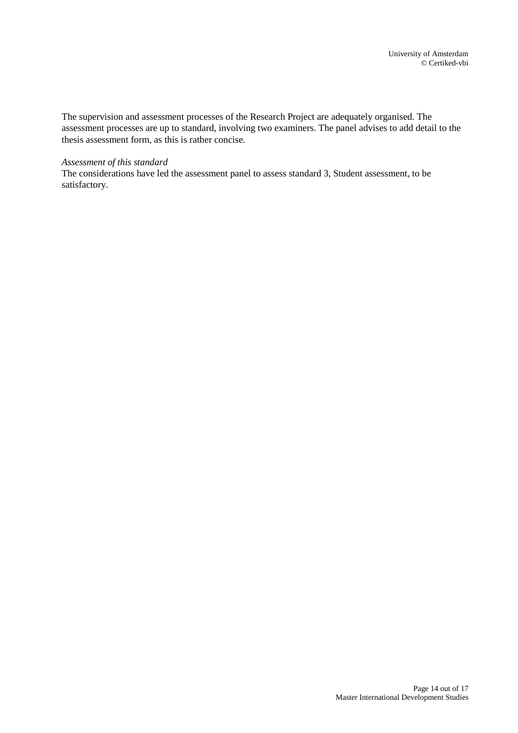The supervision and assessment processes of the Research Project are adequately organised. The assessment processes are up to standard, involving two examiners. The panel advises to add detail to the thesis assessment form, as this is rather concise.

#### *Assessment of this standard*

The considerations have led the assessment panel to assess standard 3, Student assessment, to be satisfactory.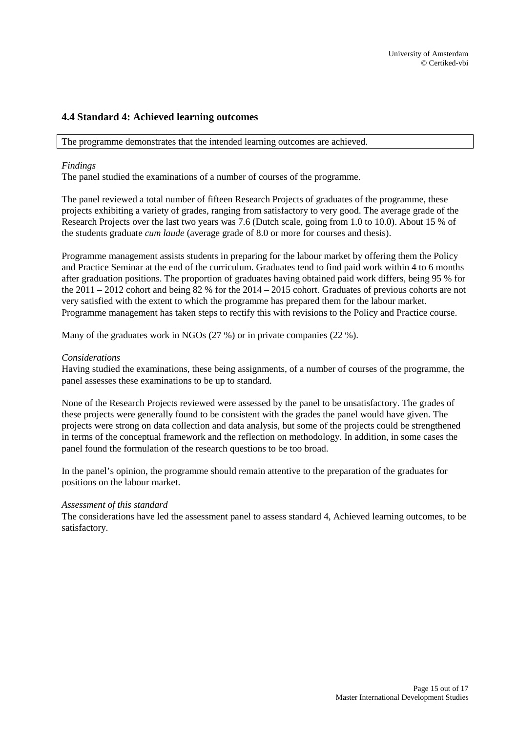## <span id="page-14-0"></span>**4.4 Standard 4: Achieved learning outcomes**

The programme demonstrates that the intended learning outcomes are achieved.

### *Findings*

The panel studied the examinations of a number of courses of the programme.

The panel reviewed a total number of fifteen Research Projects of graduates of the programme, these projects exhibiting a variety of grades, ranging from satisfactory to very good. The average grade of the Research Projects over the last two years was 7.6 (Dutch scale, going from 1.0 to 10.0). About 15 % of the students graduate *cum laude* (average grade of 8.0 or more for courses and thesis).

Programme management assists students in preparing for the labour market by offering them the Policy and Practice Seminar at the end of the curriculum. Graduates tend to find paid work within 4 to 6 months after graduation positions. The proportion of graduates having obtained paid work differs, being 95 % for the 2011 – 2012 cohort and being 82 % for the 2014 – 2015 cohort. Graduates of previous cohorts are not very satisfied with the extent to which the programme has prepared them for the labour market. Programme management has taken steps to rectify this with revisions to the Policy and Practice course.

Many of the graduates work in NGOs (27 %) or in private companies (22 %).

#### *Considerations*

Having studied the examinations, these being assignments, of a number of courses of the programme, the panel assesses these examinations to be up to standard.

None of the Research Projects reviewed were assessed by the panel to be unsatisfactory. The grades of these projects were generally found to be consistent with the grades the panel would have given. The projects were strong on data collection and data analysis, but some of the projects could be strengthened in terms of the conceptual framework and the reflection on methodology. In addition, in some cases the panel found the formulation of the research questions to be too broad.

In the panel's opinion, the programme should remain attentive to the preparation of the graduates for positions on the labour market.

#### *Assessment of this standard*

The considerations have led the assessment panel to assess standard 4, Achieved learning outcomes, to be satisfactory.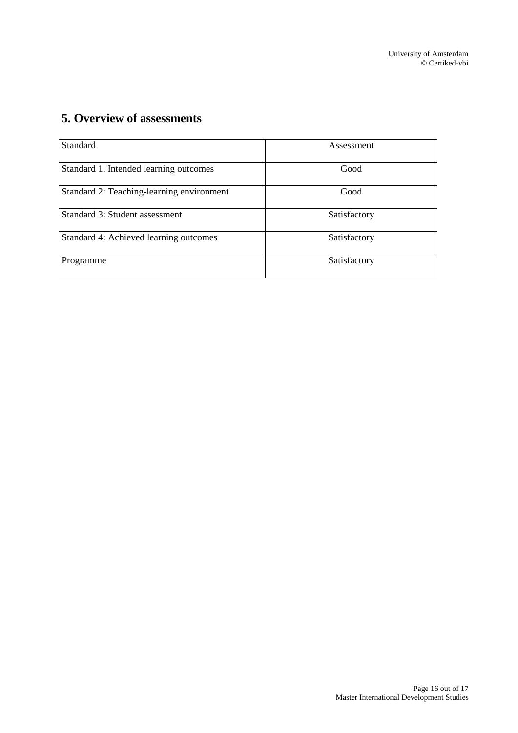# <span id="page-15-0"></span>**5. Overview of assessments**

| Standard                                  | Assessment   |
|-------------------------------------------|--------------|
| Standard 1. Intended learning outcomes    | Good         |
| Standard 2: Teaching-learning environment | Good         |
| Standard 3: Student assessment            | Satisfactory |
| Standard 4: Achieved learning outcomes    | Satisfactory |
| Programme                                 | Satisfactory |